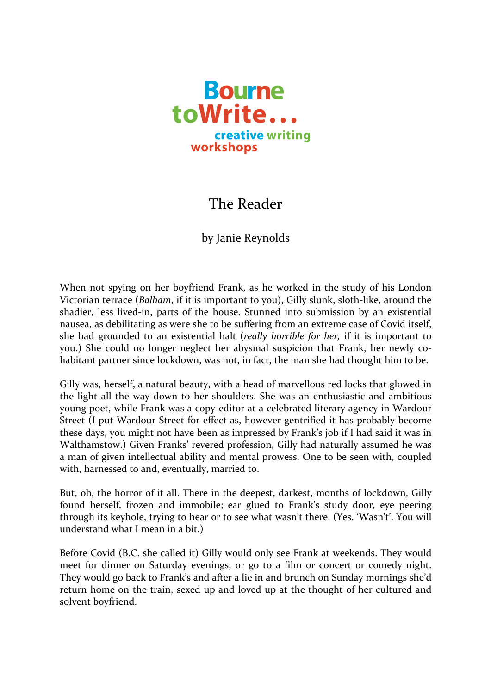

## The Reader

## by Janie Reynolds

When not spying on her boyfriend Frank, as he worked in the study of his London Victorian terrace (*Balham*, if it is important to you), Gilly slunk, sloth-like, around the shadier, less lived-in, parts of the house. Stunned into submission by an existential nausea, as debilitating as were she to be suffering from an extreme case of Covid itself, she had grounded to an existential halt (*really horrible for her*, if it is important to you.) She could no longer neglect her abysmal suspicion that Frank, her newly cohabitant partner since lockdown, was not, in fact, the man she had thought him to be.

Gilly was, herself, a natural beauty, with a head of marvellous red locks that glowed in the light all the way down to her shoulders. She was an enthusiastic and ambitious young poet, while Frank was a copy-editor at a celebrated literary agency in Wardour Street (I put Wardour Street for effect as, however gentrified it has probably become these days, you might not have been as impressed by Frank's job if I had said it was in Walthamstow.) Given Franks' revered profession, Gilly had naturally assumed he was a man of given intellectual ability and mental prowess. One to be seen with, coupled with, harnessed to and, eventually, married to.

But, oh, the horror of it all. There in the deepest, darkest, months of lockdown, Gilly found herself, frozen and immobile; ear glued to Frank's study door, eye peering through its keyhole, trying to hear or to see what wasn't there. (Yes. 'Wasn't'. You will understand what  $I$  mean in a  $bit$ .)

Before Covid (B.C. she called it) Gilly would only see Frank at weekends. They would meet for dinner on Saturday evenings, or go to a film or concert or comedy night. They would go back to Frank's and after a lie in and brunch on Sunday mornings she'd return home on the train, sexed up and loved up at the thought of her cultured and solvent boyfriend.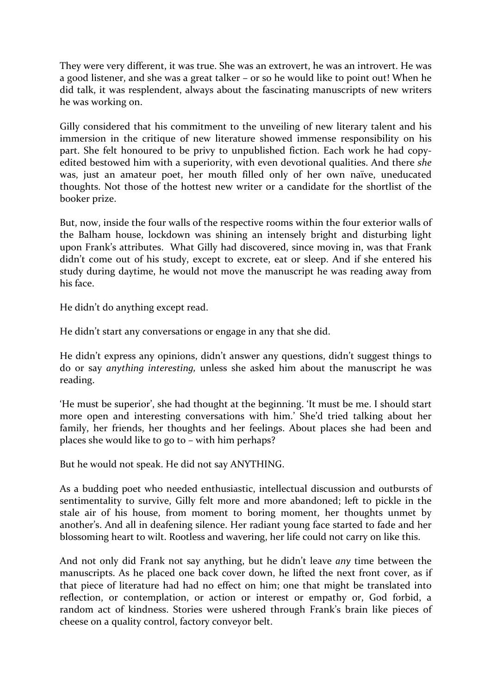They were very different, it was true. She was an extrovert, he was an introvert. He was a good listener, and she was a great talker – or so he would like to point out! When he did talk, it was resplendent, always about the fascinating manuscripts of new writers he was working on.

Gilly considered that his commitment to the unveiling of new literary talent and his immersion in the critique of new literature showed immense responsibility on his part. She felt honoured to be privy to unpublished fiction. Each work he had copyedited bestowed him with a superiority, with even devotional qualities. And there *she* was, just an amateur poet, her mouth filled only of her own naïve, uneducated thoughts. Not those of the hottest new writer or a candidate for the shortlist of the booker prize.

But, now, inside the four walls of the respective rooms within the four exterior walls of the Balham house, lockdown was shining an intensely bright and disturbing light upon Frank's attributes. What Gilly had discovered, since moving in, was that Frank didn't come out of his study, except to excrete, eat or sleep. And if she entered his study during daytime, he would not move the manuscript he was reading away from his face.

He didn't do anything except read.

He didn't start any conversations or engage in any that she did.

He didn't express any opinions, didn't answer any questions, didn't suggest things to do or say *anything interesting*, unless she asked him about the manuscript he was reading.

'He must be superior', she had thought at the beginning. 'It must be me. I should start more open and interesting conversations with him.' She'd tried talking about her family, her friends, her thoughts and her feelings. About places she had been and places she would like to go to – with him perhaps?

But he would not speak. He did not say ANYTHING.

As a budding poet who needed enthusiastic, intellectual discussion and outbursts of sentimentality to survive, Gilly felt more and more abandoned; left to pickle in the stale air of his house, from moment to boring moment, her thoughts unmet by another's. And all in deafening silence. Her radiant young face started to fade and her blossoming heart to wilt. Rootless and wavering, her life could not carry on like this.

And not only did Frank not say anything, but he didn't leave *any* time between the manuscripts. As he placed one back cover down, he lifted the next front cover, as if that piece of literature had had no effect on him; one that might be translated into reflection, or contemplation, or action or interest or empathy or, God forbid, a random act of kindness. Stories were ushered through Frank's brain like pieces of cheese on a quality control, factory conveyor belt.